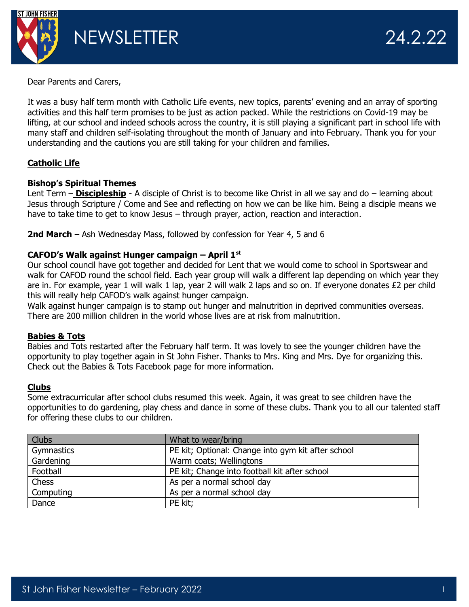

Dear Parents and Carers,

It was a busy half term month with Catholic Life events, new topics, parents' evening and an array of sporting activities and this half term promises to be just as action packed. While the restrictions on Covid-19 may be lifting, at our school and indeed schools across the country, it is still playing a significant part in school life with many staff and children self-isolating throughout the month of January and into February. Thank you for your understanding and the cautions you are still taking for your children and families.

# **Catholic Life**

## **Bishop's Spiritual Themes**

Lent Term – **Discipleship** - A disciple of Christ is to become like Christ in all we say and do – learning about Jesus through Scripture / Come and See and reflecting on how we can be like him. Being a disciple means we have to take time to get to know Jesus – through prayer, action, reaction and interaction.

**2nd March** – Ash Wednesday Mass, followed by confession for Year 4, 5 and 6

# **CAFOD's Walk against Hunger campaign – April 1st**

Our school council have got together and decided for Lent that we would come to school in Sportswear and walk for CAFOD round the school field. Each year group will walk a different lap depending on which year they are in. For example, year 1 will walk 1 lap, year 2 will walk 2 laps and so on. If everyone donates £2 per child this will really help CAFOD's walk against hunger campaign.

Walk against hunger campaign is to stamp out hunger and malnutrition in deprived communities overseas. There are 200 million children in the world whose lives are at risk from malnutrition.

## **Babies & Tots**

Babies and Tots restarted after the February half term. It was lovely to see the younger children have the opportunity to play together again in St John Fisher. Thanks to Mrs. King and Mrs. Dye for organizing this. Check out the Babies & Tots Facebook page for more information.

## **Clubs**

Some extracurricular after school clubs resumed this week. Again, it was great to see children have the opportunities to do gardening, play chess and dance in some of these clubs. Thank you to all our talented staff for offering these clubs to our children.

| <b>Clubs</b> | What to wear/bring                                 |
|--------------|----------------------------------------------------|
| Gymnastics   | PE kit; Optional: Change into gym kit after school |
| Gardening    | Warm coats; Wellingtons                            |
| Football     | PE kit; Change into football kit after school      |
| Chess        | As per a normal school day                         |
| Computing    | As per a normal school day                         |
| Dance        | PE kit;                                            |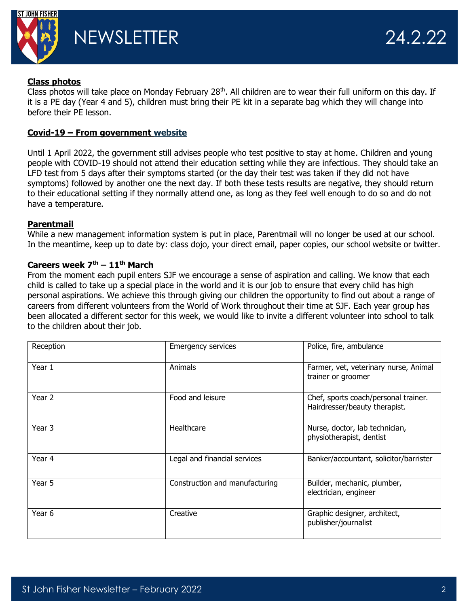

#### **Class photos**

Class photos will take place on Monday February  $28<sup>th</sup>$ . All children are to wear their full uniform on this day. If it is a PE day (Year 4 and 5), children must bring their PE kit in a separate bag which they will change into before their PE lesson.

#### **Covid-19 – From government [website](https://www.gov.uk/government/publications/covid-19-people-with-covid-19-and-their-contacts/covid-19-people-with-covid-19-and-their-contacts)**

Until 1 April 2022, the government still advises people who test positive to stay at home. Children and young people with COVID-19 should not attend their education setting while they are infectious. They should take an LFD test from 5 days after their symptoms started (or the day their test was taken if they did not have symptoms) followed by another one the next day. If both these tests results are negative, they should return to their educational setting if they normally attend one, as long as they feel well enough to do so and do not have a temperature.

#### **Parentmail**

While a new management information system is put in place, Parentmail will no longer be used at our school. In the meantime, keep up to date by: class dojo, your direct email, paper copies, our school website or twitter.

#### **Careers week 7th – 11th March**

From the moment each pupil enters SJF we encourage a sense of aspiration and calling. We know that each child is called to take up a special place in the world and it is our job to ensure that every child has high personal aspirations. We achieve this through giving our children the opportunity to find out about a range of careers from different volunteers from the World of Work throughout their time at SJF. Each year group has been allocated a different sector for this week, we would like to invite a different volunteer into school to talk to the children about their job.

| Reception | <b>Emergency services</b>      | Police, fire, ambulance                                               |
|-----------|--------------------------------|-----------------------------------------------------------------------|
| Year 1    | Animals                        | Farmer, vet, veterinary nurse, Animal<br>trainer or groomer           |
| Year 2    | Food and leisure               | Chef, sports coach/personal trainer.<br>Hairdresser/beauty therapist. |
| Year 3    | Healthcare                     | Nurse, doctor, lab technician,<br>physiotherapist, dentist            |
| Year 4    | Legal and financial services   | Banker/accountant, solicitor/barrister                                |
| Year 5    | Construction and manufacturing | Builder, mechanic, plumber,<br>electrician, engineer                  |
| Year 6    | Creative                       | Graphic designer, architect,<br>publisher/journalist                  |